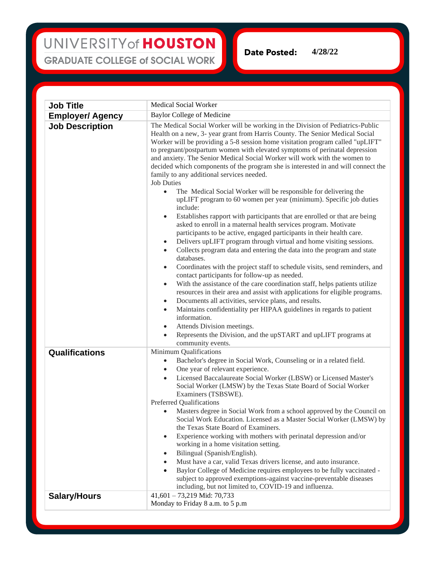## UNIVERSITY of HOUSTON **GRADUATE COLLEGE of SOCIAL WORK**

**Date Posted: 4/28/22**

**Job Title** Medical Social Worker **Employer/ Agency** Baylor College of Medicine **Job Description** The Medical Social Worker will be working in the Division of Pediatrics-Public Health on a new, 3- year grant from Harris County. The Senior Medical Social Worker will be providing a 5-8 session home visitation program called "upLIFT" to pregnant/postpartum women with elevated symptoms of perinatal depression and anxiety. The Senior Medical Social Worker will work with the women to decided which components of the program she is interested in and will connect the family to any additional services needed. Job Duties The Medical Social Worker will be responsible for delivering the upLIFT program to 60 women per year (minimum). Specific job duties include: Establishes rapport with participants that are enrolled or that are being asked to enroll in a maternal health services program. Motivate participants to be active, engaged participants in their health care. • Delivers upLIFT program through virtual and home visiting sessions. • Collects program data and entering the data into the program and state databases. • Coordinates with the project staff to schedule visits, send reminders, and contact participants for follow-up as needed. With the assistance of the care coordination staff, helps patients utilize resources in their area and assist with applications for eligible programs. • Documents all activities, service plans, and results. • Maintains confidentiality per HIPAA guidelines in regards to patient information. • Attends Division meetings. • Represents the Division, and the upSTART and upLIFT programs at community events. **Qualifications** Minimum Qualifications • Bachelor's degree in Social Work, Counseling or in a related field. One year of relevant experience. • Licensed Baccalaureate Social Worker (LBSW) or Licensed Master's Social Worker (LMSW) by the Texas State Board of Social Worker Examiners (TSBSWE). Preferred Qualifications Masters degree in Social Work from a school approved by the Council on Social Work Education. Licensed as a Master Social Worker (LMSW) by the Texas State Board of Examiners. • Experience working with mothers with perinatal depression and/or working in a home visitation setting. • Bilingual (Spanish/English). • Must have a car, valid Texas drivers license, and auto insurance. • Baylor College of Medicine requires employees to be fully vaccinated subject to approved exemptions-against vaccine-preventable diseases including, but not limited to, COVID-19 and influenza. **Salary/Hours** 41,601 – 73,219 Mid: 70,733 Monday to Friday 8 a.m. to 5 p.m